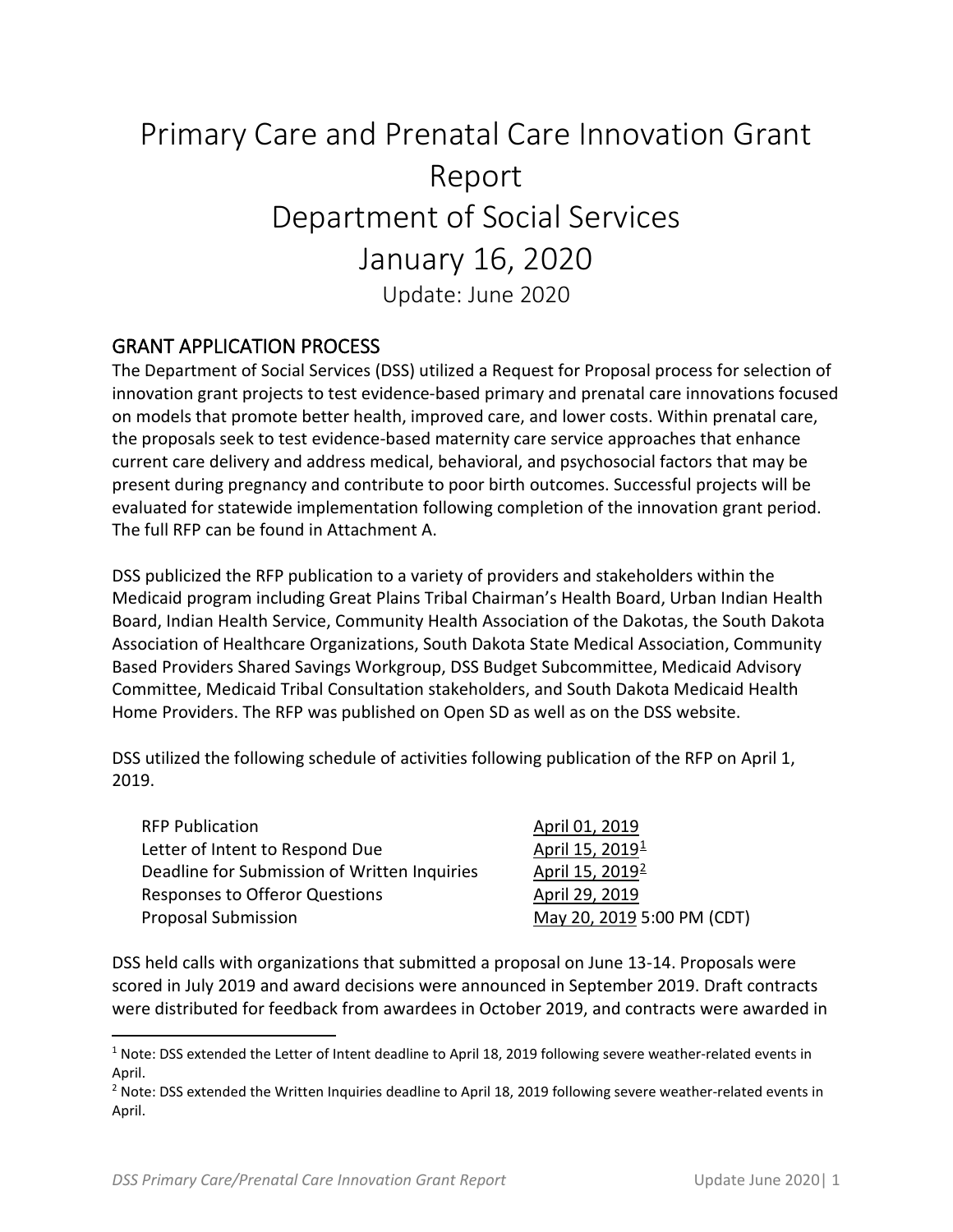# Primary Care and Prenatal Care Innovation Grant Report Department of Social Services January 16, 2020 Update: June 2020

### GRANT APPLICATION PROCESS

The Department of Social Services (DSS) utilized a Request for Proposal process for selection of innovation grant projects to test evidence-based primary and prenatal care innovations focused on models that promote better health, improved care, and lower costs. Within prenatal care, the proposals seek to test evidence-based maternity care service approaches that enhance current care delivery and address medical, behavioral, and psychosocial factors that may be present during pregnancy and contribute to poor birth outcomes. Successful projects will be evaluated for statewide implementation following completion of the innovation grant period. The full RFP can be found in Attachment A.

DSS publicized the RFP publication to a variety of providers and stakeholders within the Medicaid program including Great Plains Tribal Chairman's Health Board, Urban Indian Health Board, Indian Health Service, Community Health Association of the Dakotas, the South Dakota Association of Healthcare Organizations, South Dakota State Medical Association, Community Based Providers Shared Savings Workgroup, DSS Budget Subcommittee, Medicaid Advisory Committee, Medicaid Tribal Consultation stakeholders, and South Dakota Medicaid Health Home Providers. The RFP was published on Open SD as well as on the DSS website.

DSS utilized the following schedule of activities following publication of the RFP on April 1, 2019.

| <b>RFP Publication</b>                       | April 01, 2019              |
|----------------------------------------------|-----------------------------|
| Letter of Intent to Respond Due              | April 15, 2019 <sup>1</sup> |
| Deadline for Submission of Written Inquiries | April 15, 2019 <sup>2</sup> |
| Responses to Offeror Questions               | April 29, 2019              |
| <b>Proposal Submission</b>                   | May 20, 2019 5:00 PM (CDT)  |

DSS held calls with organizations that submitted a proposal on June 13-14. Proposals were scored in July 2019 and award decisions were announced in September 2019. Draft contracts were distributed for feedback from awardees in October 2019, and contracts were awarded in

<span id="page-0-0"></span> $1$  Note: DSS extended the Letter of Intent deadline to April 18, 2019 following severe weather-related events in April.

<span id="page-0-1"></span><sup>&</sup>lt;sup>2</sup> Note: DSS extended the Written Inquiries deadline to April 18, 2019 following severe weather-related events in April.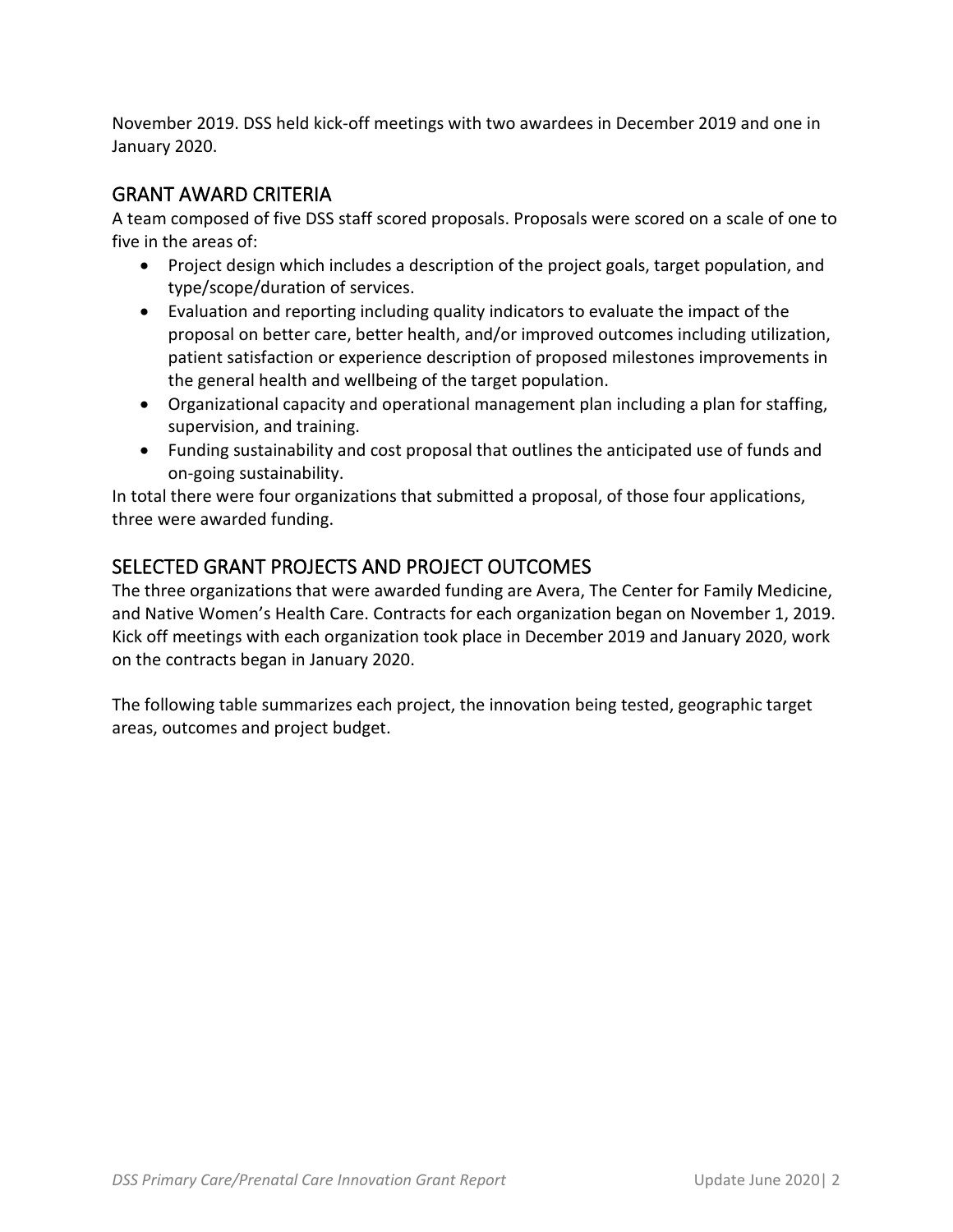November 2019. DSS held kick-off meetings with two awardees in December 2019 and one in January 2020.

## GRANT AWARD CRITERIA

A team composed of five DSS staff scored proposals. Proposals were scored on a scale of one to five in the areas of:

- Project design which includes a description of the project goals, target population, and type/scope/duration of services.
- Evaluation and reporting including quality indicators to evaluate the impact of the proposal on better care, better health, and/or improved outcomes including utilization, patient satisfaction or experience description of proposed milestones improvements in the general health and wellbeing of the target population.
- Organizational capacity and operational management plan including a plan for staffing, supervision, and training.
- Funding sustainability and cost proposal that outlines the anticipated use of funds and on-going sustainability.

In total there were four organizations that submitted a proposal, of those four applications, three were awarded funding.

# SELECTED GRANT PROJECTS AND PROJECT OUTCOMES

The three organizations that were awarded funding are Avera, The Center for Family Medicine, and Native Women's Health Care. Contracts for each organization began on November 1, 2019. Kick off meetings with each organization took place in December 2019 and January 2020, work on the contracts began in January 2020.

The following table summarizes each project, the innovation being tested, geographic target areas, outcomes and project budget.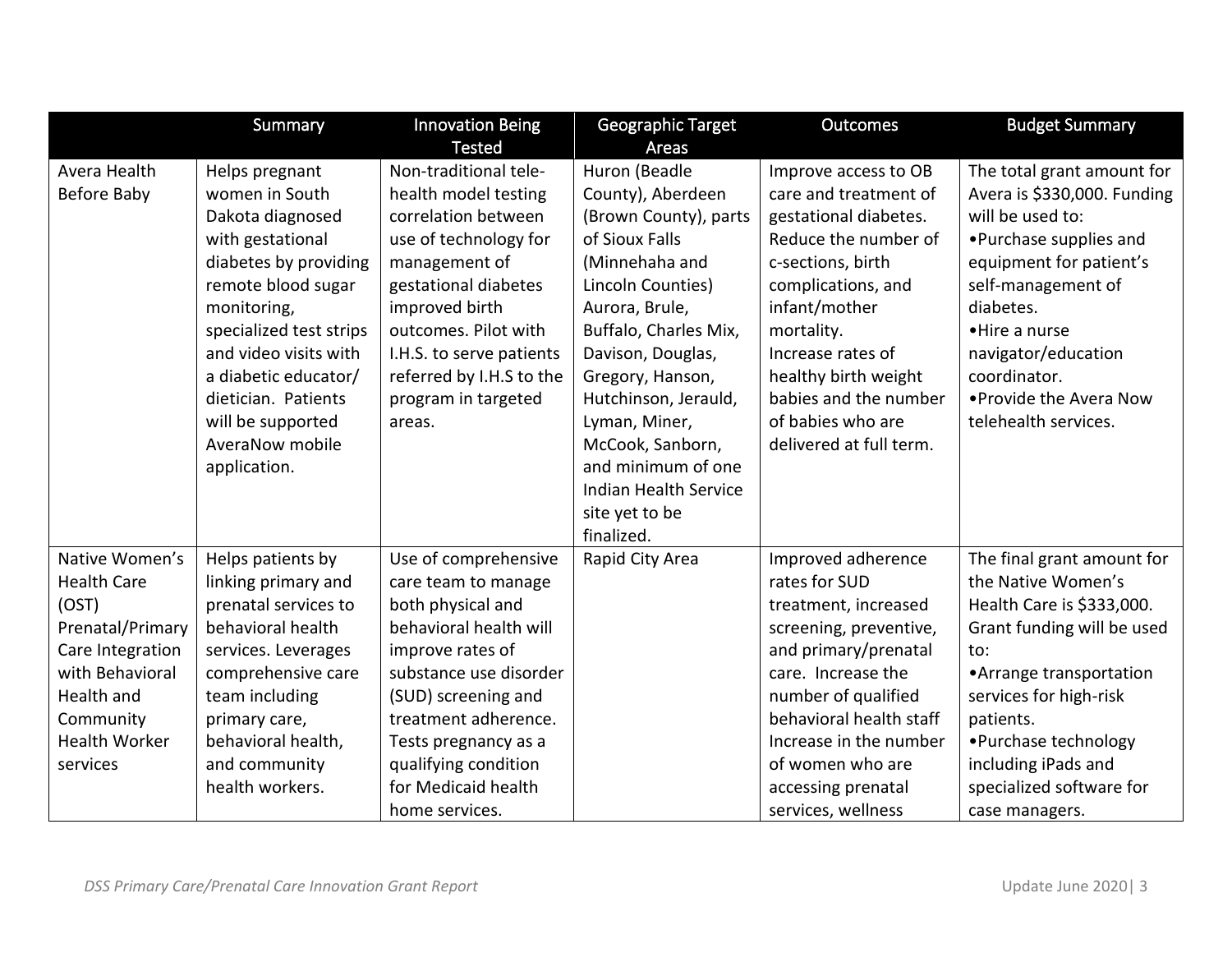|                                                                                                                                                                         | Summary                                                                                                                                                                                                                                                                                           | <b>Innovation Being</b><br><b>Tested</b>                                                                                                                                                                                                                                         | Geographic Target<br><b>Areas</b>                                                                                                                                                                                                                                                                                                                           | <b>Outcomes</b>                                                                                                                                                                                                                                                                                | <b>Budget Summary</b>                                                                                                                                                                                                                                                               |
|-------------------------------------------------------------------------------------------------------------------------------------------------------------------------|---------------------------------------------------------------------------------------------------------------------------------------------------------------------------------------------------------------------------------------------------------------------------------------------------|----------------------------------------------------------------------------------------------------------------------------------------------------------------------------------------------------------------------------------------------------------------------------------|-------------------------------------------------------------------------------------------------------------------------------------------------------------------------------------------------------------------------------------------------------------------------------------------------------------------------------------------------------------|------------------------------------------------------------------------------------------------------------------------------------------------------------------------------------------------------------------------------------------------------------------------------------------------|-------------------------------------------------------------------------------------------------------------------------------------------------------------------------------------------------------------------------------------------------------------------------------------|
| Avera Health<br>Before Baby                                                                                                                                             | Helps pregnant<br>women in South<br>Dakota diagnosed<br>with gestational<br>diabetes by providing<br>remote blood sugar<br>monitoring,<br>specialized test strips<br>and video visits with<br>a diabetic educator/<br>dietician. Patients<br>will be supported<br>AveraNow mobile<br>application. | Non-traditional tele-<br>health model testing<br>correlation between<br>use of technology for<br>management of<br>gestational diabetes<br>improved birth<br>outcomes. Pilot with<br>I.H.S. to serve patients<br>referred by I.H.S to the<br>program in targeted<br>areas.        | Huron (Beadle<br>County), Aberdeen<br>(Brown County), parts<br>of Sioux Falls<br>(Minnehaha and<br>Lincoln Counties)<br>Aurora, Brule,<br>Buffalo, Charles Mix,<br>Davison, Douglas,<br>Gregory, Hanson,<br>Hutchinson, Jerauld,<br>Lyman, Miner,<br>McCook, Sanborn,<br>and minimum of one<br><b>Indian Health Service</b><br>site yet to be<br>finalized. | Improve access to OB<br>care and treatment of<br>gestational diabetes.<br>Reduce the number of<br>c-sections, birth<br>complications, and<br>infant/mother<br>mortality.<br>Increase rates of<br>healthy birth weight<br>babies and the number<br>of babies who are<br>delivered at full term. | The total grant amount for<br>Avera is \$330,000. Funding<br>will be used to:<br>• Purchase supplies and<br>equipment for patient's<br>self-management of<br>diabetes.<br>•Hire a nurse<br>navigator/education<br>coordinator.<br>. Provide the Avera Now<br>telehealth services.   |
| Native Women's<br><b>Health Care</b><br>(OST)<br>Prenatal/Primary<br>Care Integration<br>with Behavioral<br>Health and<br>Community<br><b>Health Worker</b><br>services | Helps patients by<br>linking primary and<br>prenatal services to<br>behavioral health<br>services. Leverages<br>comprehensive care<br>team including<br>primary care,<br>behavioral health,<br>and community<br>health workers.                                                                   | Use of comprehensive<br>care team to manage<br>both physical and<br>behavioral health will<br>improve rates of<br>substance use disorder<br>(SUD) screening and<br>treatment adherence.<br>Tests pregnancy as a<br>qualifying condition<br>for Medicaid health<br>home services. | Rapid City Area                                                                                                                                                                                                                                                                                                                                             | Improved adherence<br>rates for SUD<br>treatment, increased<br>screening, preventive,<br>and primary/prenatal<br>care. Increase the<br>number of qualified<br>behavioral health staff<br>Increase in the number<br>of women who are<br>accessing prenatal<br>services, wellness                | The final grant amount for<br>the Native Women's<br>Health Care is \$333,000.<br>Grant funding will be used<br>to:<br>• Arrange transportation<br>services for high-risk<br>patients.<br>• Purchase technology<br>including iPads and<br>specialized software for<br>case managers. |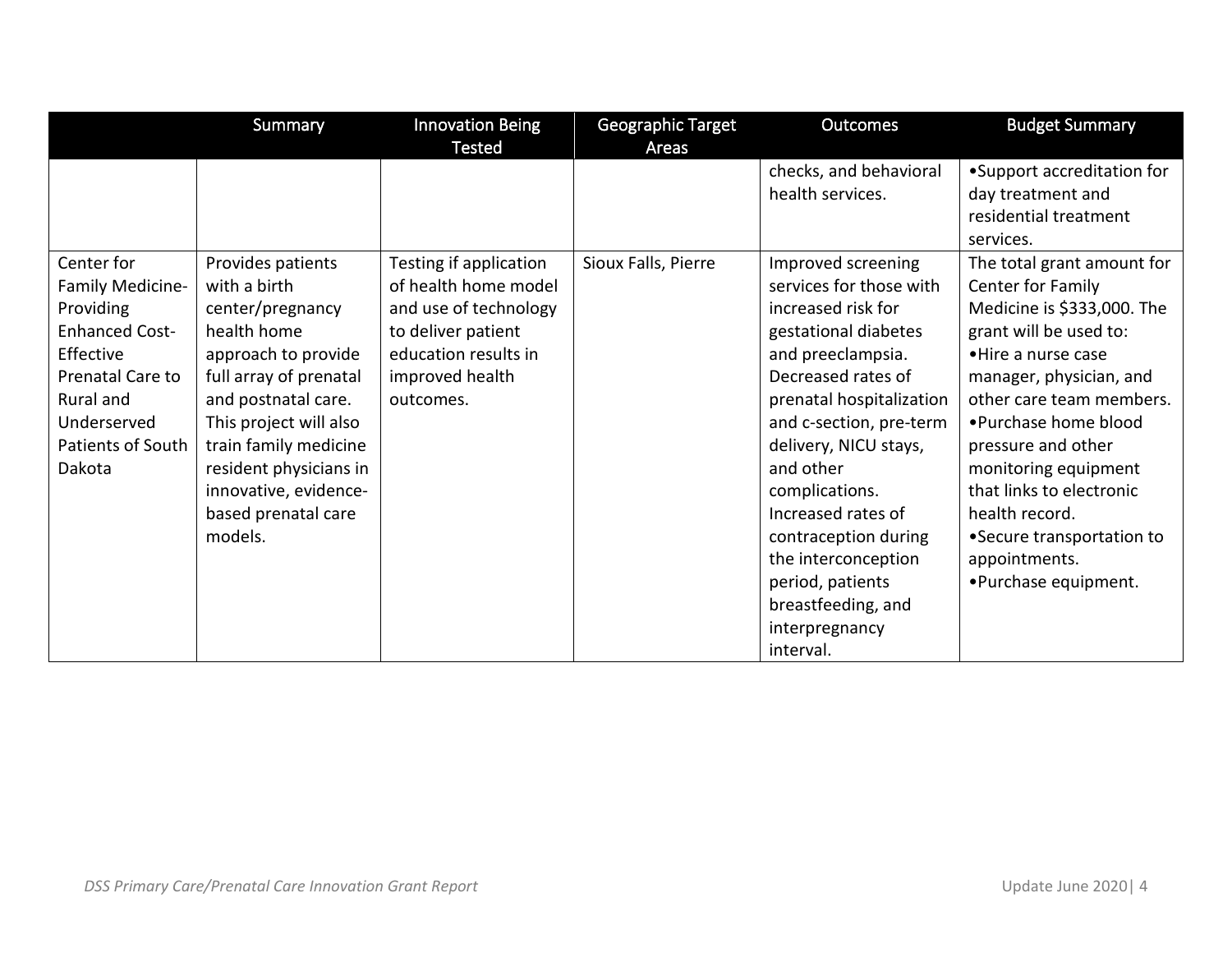|                       | Summary                | <b>Innovation Being</b> | Geographic Target   | <b>Outcomes</b>          | <b>Budget Summary</b>      |
|-----------------------|------------------------|-------------------------|---------------------|--------------------------|----------------------------|
|                       |                        | <b>Tested</b>           | Areas               |                          |                            |
|                       |                        |                         |                     | checks, and behavioral   | •Support accreditation for |
|                       |                        |                         |                     | health services.         | day treatment and          |
|                       |                        |                         |                     |                          | residential treatment      |
|                       |                        |                         |                     |                          | services.                  |
| Center for            | Provides patients      | Testing if application  | Sioux Falls, Pierre | Improved screening       | The total grant amount for |
| Family Medicine-      | with a birth           | of health home model    |                     | services for those with  | Center for Family          |
| Providing             | center/pregnancy       | and use of technology   |                     | increased risk for       | Medicine is \$333,000. The |
| <b>Enhanced Cost-</b> | health home            | to deliver patient      |                     | gestational diabetes     | grant will be used to:     |
| Effective             | approach to provide    | education results in    |                     | and preeclampsia.        | • Hire a nurse case        |
| Prenatal Care to      | full array of prenatal | improved health         |                     | Decreased rates of       | manager, physician, and    |
| Rural and             | and postnatal care.    | outcomes.               |                     | prenatal hospitalization | other care team members.   |
| Underserved           | This project will also |                         |                     | and c-section, pre-term  | • Purchase home blood      |
| Patients of South     | train family medicine  |                         |                     | delivery, NICU stays,    | pressure and other         |
| Dakota                | resident physicians in |                         |                     | and other                | monitoring equipment       |
|                       | innovative, evidence-  |                         |                     | complications.           | that links to electronic   |
|                       | based prenatal care    |                         |                     | Increased rates of       | health record.             |
|                       | models.                |                         |                     | contraception during     | • Secure transportation to |
|                       |                        |                         |                     | the interconception      | appointments.              |
|                       |                        |                         |                     | period, patients         | •Purchase equipment.       |
|                       |                        |                         |                     | breastfeeding, and       |                            |
|                       |                        |                         |                     | interpregnancy           |                            |
|                       |                        |                         |                     | interval.                |                            |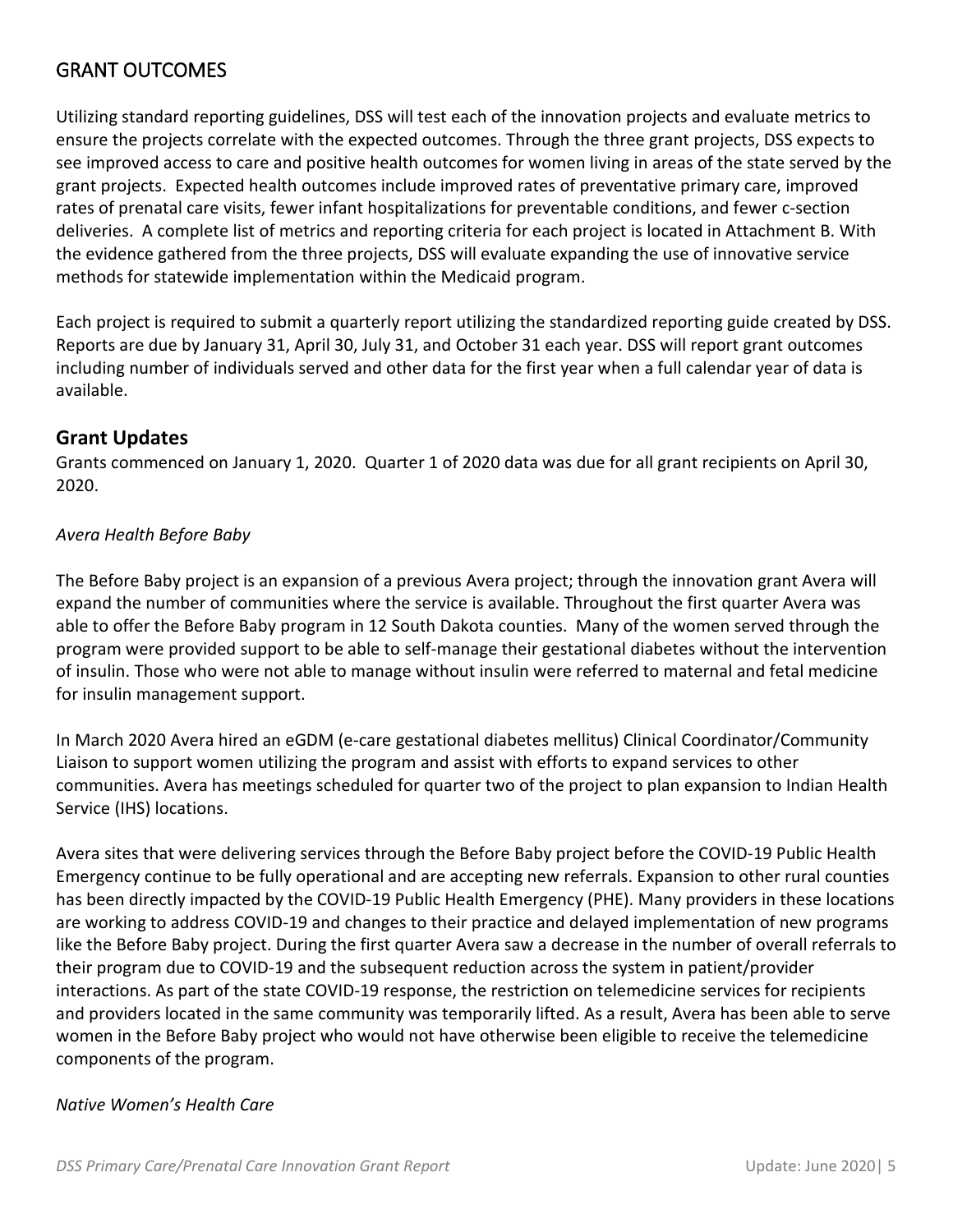## GRANT OUTCOMES

Utilizing standard reporting guidelines, DSS will test each of the innovation projects and evaluate metrics to ensure the projects correlate with the expected outcomes. Through the three grant projects, DSS expects to see improved access to care and positive health outcomes for women living in areas of the state served by the grant projects. Expected health outcomes include improved rates of preventative primary care, improved rates of prenatal care visits, fewer infant hospitalizations for preventable conditions, and fewer c-section deliveries. A complete list of metrics and reporting criteria for each project is located in Attachment B. With the evidence gathered from the three projects, DSS will evaluate expanding the use of innovative service methods for statewide implementation within the Medicaid program.

Each project is required to submit a quarterly report utilizing the standardized reporting guide created by DSS. Reports are due by January 31, April 30, July 31, and October 31 each year. DSS will report grant outcomes including number of individuals served and other data for the first year when a full calendar year of data is available.

#### **Grant Updates**

Grants commenced on January 1, 2020. Quarter 1 of 2020 data was due for all grant recipients on April 30, 2020.

#### *Avera Health Before Baby*

The Before Baby project is an expansion of a previous Avera project; through the innovation grant Avera will expand the number of communities where the service is available. Throughout the first quarter Avera was able to offer the Before Baby program in 12 South Dakota counties. Many of the women served through the program were provided support to be able to self-manage their gestational diabetes without the intervention of insulin. Those who were not able to manage without insulin were referred to maternal and fetal medicine for insulin management support.

In March 2020 Avera hired an eGDM (e-care gestational diabetes mellitus) Clinical Coordinator/Community Liaison to support women utilizing the program and assist with efforts to expand services to other communities. Avera has meetings scheduled for quarter two of the project to plan expansion to Indian Health Service (IHS) locations.

Avera sites that were delivering services through the Before Baby project before the COVID-19 Public Health Emergency continue to be fully operational and are accepting new referrals. Expansion to other rural counties has been directly impacted by the COVID-19 Public Health Emergency (PHE). Many providers in these locations are working to address COVID-19 and changes to their practice and delayed implementation of new programs like the Before Baby project. During the first quarter Avera saw a decrease in the number of overall referrals to their program due to COVID-19 and the subsequent reduction across the system in patient/provider interactions. As part of the state COVID-19 response, the restriction on telemedicine services for recipients and providers located in the same community was temporarily lifted. As a result, Avera has been able to serve women in the Before Baby project who would not have otherwise been eligible to receive the telemedicine components of the program.

#### *Native Women's Health Care*